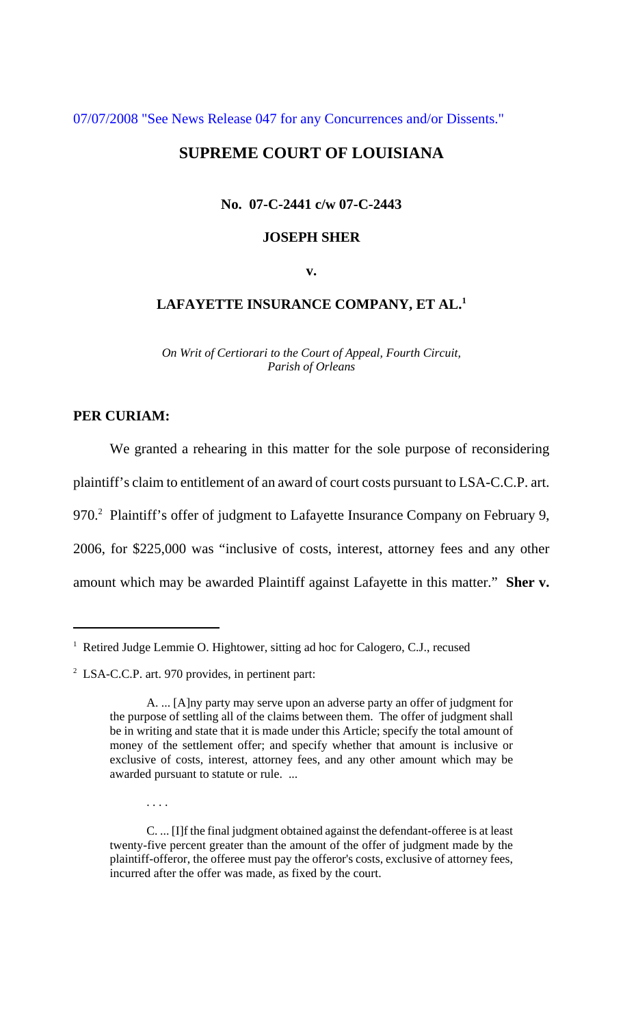[07/07/2008 "See News Release 047 for any Concurrences and/or Dissents."](http://www.lasc.org/Rehearings?p=2008-047)

# **SUPREME COURT OF LOUISIANA**

### **No. 07-C-2441 c/w 07-C-2443**

### **JOSEPH SHER**

**v.**

## **LAFAYETTE INSURANCE COMPANY, ET AL.1**

*On Writ of Certiorari to the Court of Appeal, Fourth Circuit, Parish of Orleans*

## **PER CURIAM:**

We granted a rehearing in this matter for the sole purpose of reconsidering plaintiff's claim to entitlement of an award of court costs pursuant to LSA-C.C.P. art. 970.<sup>2</sup> Plaintiff's offer of judgment to Lafayette Insurance Company on February 9, 2006, for \$225,000 was "inclusive of costs, interest, attorney fees and any other amount which may be awarded Plaintiff against Lafayette in this matter." **Sher v.**

. . . .

C. ... [I]f the final judgment obtained against the defendant-offeree is at least twenty-five percent greater than the amount of the offer of judgment made by the plaintiff-offeror, the offeree must pay the offeror's costs, exclusive of attorney fees, incurred after the offer was made, as fixed by the court.

<sup>&</sup>lt;sup>1</sup> Retired Judge Lemmie O. Hightower, sitting ad hoc for Calogero, C.J., recused

 $2^2$  LSA-C.C.P. art. 970 provides, in pertinent part:

A. ... [A]ny party may serve upon an adverse party an offer of judgment for the purpose of settling all of the claims between them. The offer of judgment shall be in writing and state that it is made under this Article; specify the total amount of money of the settlement offer; and specify whether that amount is inclusive or exclusive of costs, interest, attorney fees, and any other amount which may be awarded pursuant to statute or rule. ...